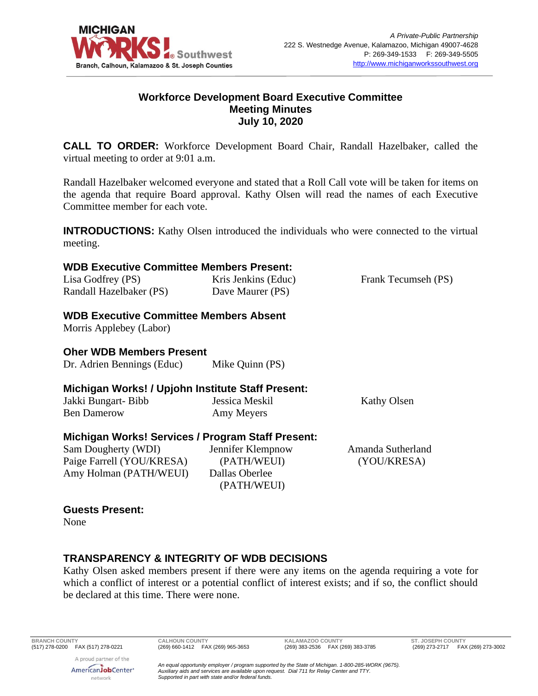

### **Workforce Development Board Executive Committee Meeting Minutes July 10, 2020**

**CALL TO ORDER:** Workforce Development Board Chair, Randall Hazelbaker, called the virtual meeting to order at 9:01 a.m.

Randall Hazelbaker welcomed everyone and stated that a Roll Call vote will be taken for items on the agenda that require Board approval. Kathy Olsen will read the names of each Executive Committee member for each vote.

**INTRODUCTIONS:** Kathy Olsen introduced the individuals who were connected to the virtual meeting.

#### **WDB Executive Committee Members Present:**

| Lisa Godfrey (PS)       | Kris Jenkins (Educ) | Frank Tecumseh (PS) |
|-------------------------|---------------------|---------------------|
| Randall Hazelbaker (PS) | Dave Maurer (PS)    |                     |

### **WDB Executive Committee Members Absent**

Morris Applebey (Labor)

### **Oher WDB Members Present**

| Dr. Adrien Bennings (Educ) | Mike Quinn (PS) |
|----------------------------|-----------------|
|----------------------------|-----------------|

### **Michigan Works! / Upjohn Institute Staff Present:**

| Jakki Bungart- Bibb | Jessica Meskil | Kathy Olsen |
|---------------------|----------------|-------------|
| <b>Ben Damerow</b>  | Amy Meyers     |             |

### **Michigan Works! Services / Program Staff Present:**

Sam Dougherty (WDI) Paige Farrell (YOU/KRESA) Amy Holman (PATH/WEUI) Jennifer Klempnow (PATH/WEUI) Dallas Oberlee (PATH/WEUI)

Amanda Sutherland (YOU/KRESA)

# **Guests Present:**

None

### **TRANSPARENCY & INTEGRITY OF WDB DECISIONS**

Kathy Olsen asked members present if there were any items on the agenda requiring a vote for which a conflict of interest or a potential conflict of interest exists; and if so, the conflict should be declared at this time. There were none.

A proud partner of the AmericanJobCenter<sup>®</sup> network

**BRANCH COUNTY CALHOUN COUNTY KALAMAZOO COUNTY ST. JOSEPH COUNTY**

(269) 273-2717 FAX (269) 273-3002

*An equal opportunity employer / program supported by the State of Michigan. 1-800-285-WORK (9675). Auxiliary aids and services are available upon request. Dial 711 for Relay Center and TTY. Supported in part with state and/or federal funds.*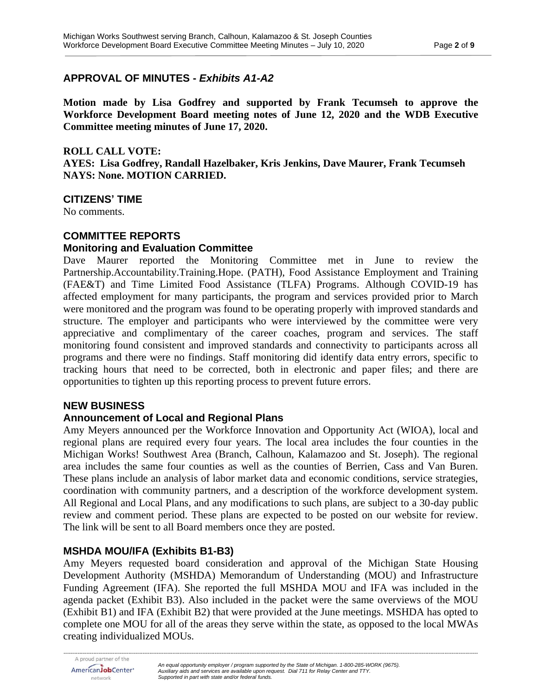### **APPROVAL OF MINUTES -** *Exhibits A1-A2*

**Motion made by Lisa Godfrey and supported by Frank Tecumseh to approve the Workforce Development Board meeting notes of June 12, 2020 and the WDB Executive Committee meeting minutes of June 17, 2020.**

#### **ROLL CALL VOTE:**

**AYES: Lisa Godfrey, Randall Hazelbaker, Kris Jenkins, Dave Maurer, Frank Tecumseh NAYS: None. MOTION CARRIED.**

### **CITIZENS' TIME**

No comments.

#### **COMMITTEE REPORTS**

### **Monitoring and Evaluation Committee**

Dave Maurer reported the Monitoring Committee met in June to review the Partnership.Accountability.Training.Hope. (PATH), Food Assistance Employment and Training (FAE&T) and Time Limited Food Assistance (TLFA) Programs. Although COVID-19 has affected employment for many participants, the program and services provided prior to March were monitored and the program was found to be operating properly with improved standards and structure. The employer and participants who were interviewed by the committee were very appreciative and complimentary of the career coaches, program and services. The staff monitoring found consistent and improved standards and connectivity to participants across all programs and there were no findings. Staff monitoring did identify data entry errors, specific to tracking hours that need to be corrected, both in electronic and paper files; and there are opportunities to tighten up this reporting process to prevent future errors.

### **NEW BUSINESS**

#### **Announcement of Local and Regional Plans**

Amy Meyers announced per the Workforce Innovation and Opportunity Act (WIOA), local and regional plans are required every four years. The local area includes the four counties in the Michigan Works! Southwest Area (Branch, Calhoun, Kalamazoo and St. Joseph). The regional area includes the same four counties as well as the counties of Berrien, Cass and Van Buren. These plans include an analysis of labor market data and economic conditions, service strategies, coordination with community partners, and a description of the workforce development system. All Regional and Local Plans, and any modifications to such plans, are subject to a 30-day public review and comment period. These plans are expected to be posted on our website for review. The link will be sent to all Board members once they are posted.

### **MSHDA MOU/IFA (Exhibits B1-B3)**

Amy Meyers requested board consideration and approval of the Michigan State Housing Development Authority (MSHDA) Memorandum of Understanding (MOU) and Infrastructure Funding Agreement (IFA). She reported the full MSHDA MOU and IFA was included in the agenda packet (Exhibit B3). Also included in the packet were the same overviews of the MOU (Exhibit B1) and IFA (Exhibit B2) that were provided at the June meetings. MSHDA has opted to complete one MOU for all of the areas they serve within the state, as opposed to the local MWAs creating individualized MOUs.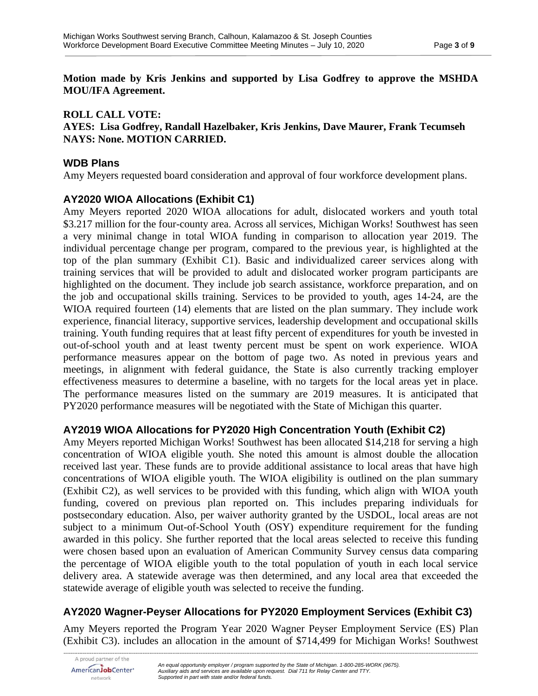**Motion made by Kris Jenkins and supported by Lisa Godfrey to approve the MSHDA MOU/IFA Agreement.**

### **ROLL CALL VOTE:**

#### **AYES: Lisa Godfrey, Randall Hazelbaker, Kris Jenkins, Dave Maurer, Frank Tecumseh NAYS: None. MOTION CARRIED.**

### **WDB Plans**

Amy Meyers requested board consideration and approval of four workforce development plans.

## **AY2020 WIOA Allocations (Exhibit C1)**

Amy Meyers reported 2020 WIOA allocations for adult, dislocated workers and youth total \$3.217 million for the four-county area. Across all services, Michigan Works! Southwest has seen a very minimal change in total WIOA funding in comparison to allocation year 2019. The individual percentage change per program, compared to the previous year, is highlighted at the top of the plan summary (Exhibit C1). Basic and individualized career services along with training services that will be provided to adult and dislocated worker program participants are highlighted on the document. They include job search assistance, workforce preparation, and on the job and occupational skills training. Services to be provided to youth, ages 14-24, are the WIOA required fourteen (14) elements that are listed on the plan summary. They include work experience, financial literacy, supportive services, leadership development and occupational skills training. Youth funding requires that at least fifty percent of expenditures for youth be invested in out-of-school youth and at least twenty percent must be spent on work experience. WIOA performance measures appear on the bottom of page two. As noted in previous years and meetings, in alignment with federal guidance, the State is also currently tracking employer effectiveness measures to determine a baseline, with no targets for the local areas yet in place. The performance measures listed on the summary are 2019 measures. It is anticipated that PY2020 performance measures will be negotiated with the State of Michigan this quarter.

## **AY2019 WIOA Allocations for PY2020 High Concentration Youth (Exhibit C2)**

Amy Meyers reported Michigan Works! Southwest has been allocated \$14,218 for serving a high concentration of WIOA eligible youth. She noted this amount is almost double the allocation received last year. These funds are to provide additional assistance to local areas that have high concentrations of WIOA eligible youth. The WIOA eligibility is outlined on the plan summary (Exhibit C2), as well services to be provided with this funding, which align with WIOA youth funding, covered on previous plan reported on. This includes preparing individuals for postsecondary education. Also, per waiver authority granted by the USDOL, local areas are not subject to a minimum Out-of-School Youth (OSY) expenditure requirement for the funding awarded in this policy. She further reported that the local areas selected to receive this funding were chosen based upon an evaluation of American Community Survey census data comparing the percentage of WIOA eligible youth to the total population of youth in each local service delivery area. A statewide average was then determined, and any local area that exceeded the statewide average of eligible youth was selected to receive the funding.

## **AY2020 Wagner-Peyser Allocations for PY2020 Employment Services (Exhibit C3)**

Amy Meyers reported the Program Year 2020 Wagner Peyser Employment Service (ES) Plan (Exhibit C3). includes an allocation in the amount of \$714,499 for Michigan Works! Southwest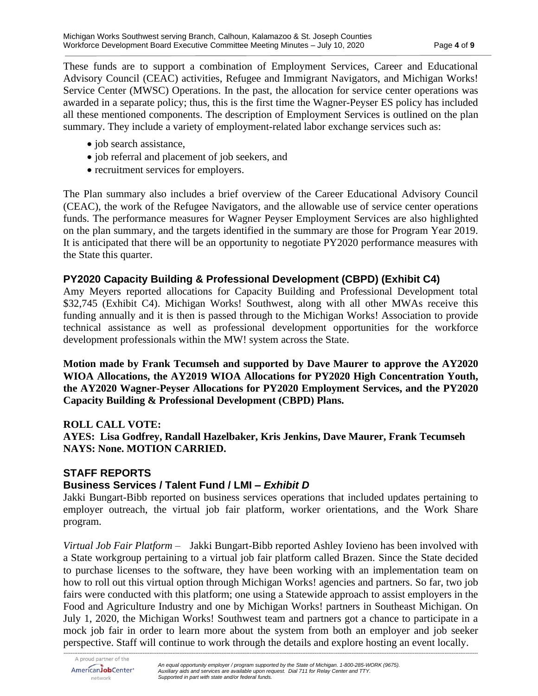These funds are to support a combination of Employment Services, Career and Educational Advisory Council (CEAC) activities, Refugee and Immigrant Navigators, and Michigan Works! Service Center (MWSC) Operations. In the past, the allocation for service center operations was awarded in a separate policy; thus, this is the first time the Wagner-Peyser ES policy has included all these mentioned components. The description of Employment Services is outlined on the plan summary. They include a variety of employment-related labor exchange services such as:

- job search assistance,
- job referral and placement of job seekers, and
- recruitment services for employers.

The Plan summary also includes a brief overview of the Career Educational Advisory Council (CEAC), the work of the Refugee Navigators, and the allowable use of service center operations funds. The performance measures for Wagner Peyser Employment Services are also highlighted on the plan summary, and the targets identified in the summary are those for Program Year 2019. It is anticipated that there will be an opportunity to negotiate PY2020 performance measures with the State this quarter.

### **PY2020 Capacity Building & Professional Development (CBPD) (Exhibit C4)**

Amy Meyers reported allocations for Capacity Building and Professional Development total \$32,745 (Exhibit C4). Michigan Works! Southwest, along with all other MWAs receive this funding annually and it is then is passed through to the Michigan Works! Association to provide technical assistance as well as professional development opportunities for the workforce development professionals within the MW! system across the State.

**Motion made by Frank Tecumseh and supported by Dave Maurer to approve the AY2020 WIOA Allocations, the AY2019 WIOA Allocations for PY2020 High Concentration Youth, the AY2020 Wagner-Peyser Allocations for PY2020 Employment Services, and the PY2020 Capacity Building & Professional Development (CBPD) Plans.**

#### **ROLL CALL VOTE:**

**AYES: Lisa Godfrey, Randall Hazelbaker, Kris Jenkins, Dave Maurer, Frank Tecumseh NAYS: None. MOTION CARRIED.**

#### **STAFF REPORTS**

#### **Business Services / Talent Fund / LMI –** *Exhibit D*

Jakki Bungart-Bibb reported on business services operations that included updates pertaining to employer outreach, the virtual job fair platform, worker orientations, and the Work Share program.

*Virtual Job Fair Platform –* Jakki Bungart-Bibb reported Ashley Iovieno has been involved with a State workgroup pertaining to a virtual job fair platform called Brazen. Since the State decided to purchase licenses to the software, they have been working with an implementation team on how to roll out this virtual option through Michigan Works! agencies and partners. So far, two job fairs were conducted with this platform; one using a Statewide approach to assist employers in the Food and Agriculture Industry and one by Michigan Works! partners in Southeast Michigan. On July 1, 2020, the Michigan Works! Southwest team and partners got a chance to participate in a mock job fair in order to learn more about the system from both an employer and job seeker perspective. Staff will continue to work through the details and explore hosting an event locally.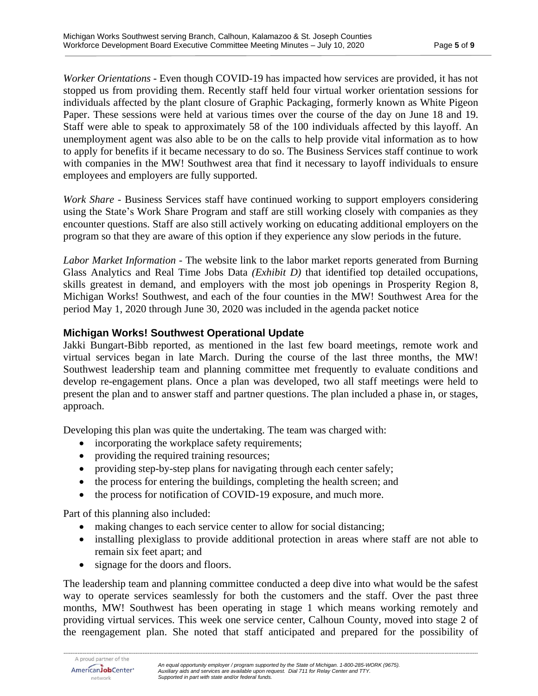*Worker Orientations* - Even though COVID-19 has impacted how services are provided, it has not stopped us from providing them. Recently staff held four virtual worker orientation sessions for individuals affected by the plant closure of Graphic Packaging, formerly known as White Pigeon Paper. These sessions were held at various times over the course of the day on June 18 and 19. Staff were able to speak to approximately 58 of the 100 individuals affected by this layoff. An unemployment agent was also able to be on the calls to help provide vital information as to how to apply for benefits if it became necessary to do so. The Business Services staff continue to work with companies in the MW! Southwest area that find it necessary to layoff individuals to ensure employees and employers are fully supported.

*Work Share* - Business Services staff have continued working to support employers considering using the State's Work Share Program and staff are still working closely with companies as they encounter questions. Staff are also still actively working on educating additional employers on the program so that they are aware of this option if they experience any slow periods in the future.

*Labor Market Information* - The website link to the labor market reports generated from Burning Glass Analytics and Real Time Jobs Data *(Exhibit D)* that identified top detailed occupations, skills greatest in demand, and employers with the most job openings in Prosperity Region 8, Michigan Works! Southwest, and each of the four counties in the MW! Southwest Area for the period May 1, 2020 through June 30, 2020 was included in the agenda packet notice

### **Michigan Works! Southwest Operational Update**

Jakki Bungart-Bibb reported, as mentioned in the last few board meetings, remote work and virtual services began in late March. During the course of the last three months, the MW! Southwest leadership team and planning committee met frequently to evaluate conditions and develop re-engagement plans. Once a plan was developed, two all staff meetings were held to present the plan and to answer staff and partner questions. The plan included a phase in, or stages, approach.

Developing this plan was quite the undertaking. The team was charged with:

- incorporating the workplace safety requirements;
- providing the required training resources;
- providing step-by-step plans for navigating through each center safely;
- the process for entering the buildings, completing the health screen; and
- the process for notification of COVID-19 exposure, and much more.

Part of this planning also included:

- making changes to each service center to allow for social distancing;
- installing plexiglass to provide additional protection in areas where staff are not able to remain six feet apart; and
- signage for the doors and floors.

The leadership team and planning committee conducted a deep dive into what would be the safest way to operate services seamlessly for both the customers and the staff. Over the past three months, MW! Southwest has been operating in stage 1 which means working remotely and providing virtual services. This week one service center, Calhoun County, moved into stage 2 of the reengagement plan. She noted that staff anticipated and prepared for the possibility of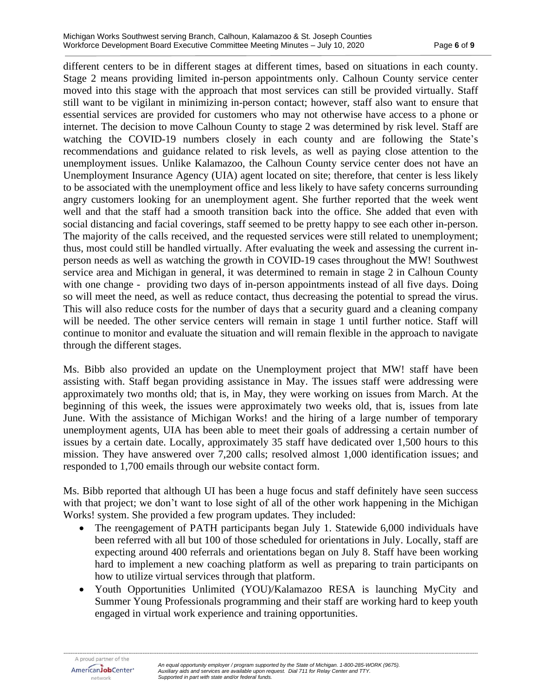different centers to be in different stages at different times, based on situations in each county. Stage 2 means providing limited in-person appointments only. Calhoun County service center moved into this stage with the approach that most services can still be provided virtually. Staff still want to be vigilant in minimizing in-person contact; however, staff also want to ensure that essential services are provided for customers who may not otherwise have access to a phone or internet. The decision to move Calhoun County to stage 2 was determined by risk level. Staff are watching the COVID-19 numbers closely in each county and are following the State's recommendations and guidance related to risk levels, as well as paying close attention to the unemployment issues. Unlike Kalamazoo, the Calhoun County service center does not have an Unemployment Insurance Agency (UIA) agent located on site; therefore, that center is less likely to be associated with the unemployment office and less likely to have safety concerns surrounding angry customers looking for an unemployment agent. She further reported that the week went well and that the staff had a smooth transition back into the office. She added that even with social distancing and facial coverings, staff seemed to be pretty happy to see each other in-person. The majority of the calls received, and the requested services were still related to unemployment; thus, most could still be handled virtually. After evaluating the week and assessing the current inperson needs as well as watching the growth in COVID-19 cases throughout the MW! Southwest service area and Michigan in general, it was determined to remain in stage 2 in Calhoun County with one change - providing two days of in-person appointments instead of all five days. Doing so will meet the need, as well as reduce contact, thus decreasing the potential to spread the virus. This will also reduce costs for the number of days that a security guard and a cleaning company will be needed. The other service centers will remain in stage 1 until further notice. Staff will continue to monitor and evaluate the situation and will remain flexible in the approach to navigate through the different stages.

Ms. Bibb also provided an update on the Unemployment project that MW! staff have been assisting with. Staff began providing assistance in May. The issues staff were addressing were approximately two months old; that is, in May, they were working on issues from March. At the beginning of this week, the issues were approximately two weeks old, that is, issues from late June. With the assistance of Michigan Works! and the hiring of a large number of temporary unemployment agents, UIA has been able to meet their goals of addressing a certain number of issues by a certain date. Locally, approximately 35 staff have dedicated over 1,500 hours to this mission. They have answered over 7,200 calls; resolved almost 1,000 identification issues; and responded to 1,700 emails through our website contact form.

Ms. Bibb reported that although UI has been a huge focus and staff definitely have seen success with that project; we don't want to lose sight of all of the other work happening in the Michigan Works! system. She provided a few program updates. They included:

- The reengagement of PATH participants began July 1. Statewide 6,000 individuals have been referred with all but 100 of those scheduled for orientations in July. Locally, staff are expecting around 400 referrals and orientations began on July 8. Staff have been working hard to implement a new coaching platform as well as preparing to train participants on how to utilize virtual services through that platform.
- Youth Opportunities Unlimited (YOU)/Kalamazoo RESA is launching MyCity and Summer Young Professionals programming and their staff are working hard to keep youth engaged in virtual work experience and training opportunities.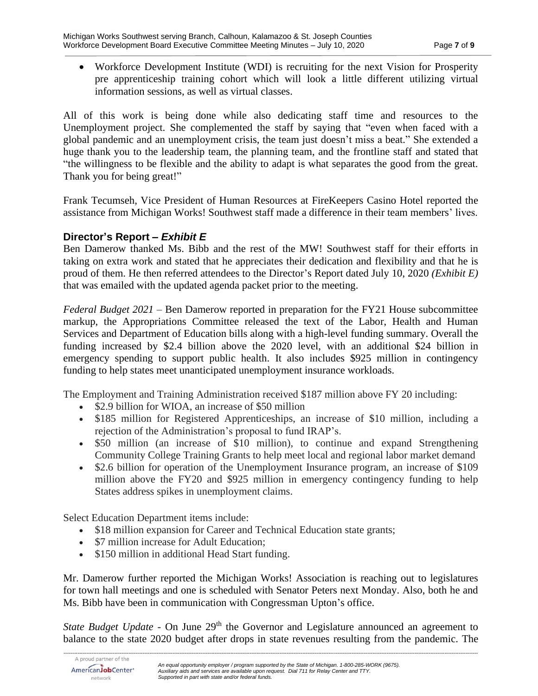• Workforce Development Institute (WDI) is recruiting for the next Vision for Prosperity pre apprenticeship training cohort which will look a little different utilizing virtual information sessions, as well as virtual classes.

All of this work is being done while also dedicating staff time and resources to the Unemployment project. She complemented the staff by saying that "even when faced with a global pandemic and an unemployment crisis, the team just doesn't miss a beat." She extended a huge thank you to the leadership team, the planning team, and the frontline staff and stated that "the willingness to be flexible and the ability to adapt is what separates the good from the great. Thank you for being great!"

Frank Tecumseh, Vice President of Human Resources at FireKeepers Casino Hotel reported the assistance from Michigan Works! Southwest staff made a difference in their team members' lives.

### **Director's Report –** *Exhibit E*

Ben Damerow thanked Ms. Bibb and the rest of the MW! Southwest staff for their efforts in taking on extra work and stated that he appreciates their dedication and flexibility and that he is proud of them. He then referred attendees to the Director's Report dated July 10, 2020 *(Exhibit E)* that was emailed with the updated agenda packet prior to the meeting.

*Federal Budget 2021* – Ben Damerow reported in preparation for the FY21 House subcommittee markup, the Appropriations Committee released the text of the Labor, Health and Human Services and Department of Education bills along with a high-level funding summary. Overall the funding increased by \$2.4 billion above the 2020 level, with an additional \$24 billion in emergency spending to support public health. It also includes \$925 million in contingency funding to help states meet unanticipated unemployment insurance workloads.

The Employment and Training Administration received \$187 million above FY 20 including:

- \$2.9 billion for WIOA, an increase of \$50 million
- \$185 million for Registered Apprenticeships, an increase of \$10 million, including a rejection of the Administration's proposal to fund IRAP's.
- \$50 million (an increase of \$10 million), to continue and expand Strengthening Community College Training Grants to help meet local and regional labor market demand
- \$2.6 billion for operation of the Unemployment Insurance program, an increase of \$109 million above the FY20 and \$925 million in emergency contingency funding to help States address spikes in unemployment claims.

Select Education Department items include:

- \$18 million expansion for Career and Technical Education state grants;
- \$7 million increase for Adult Education;
- \$150 million in additional Head Start funding.

Mr. Damerow further reported the Michigan Works! Association is reaching out to legislatures for town hall meetings and one is scheduled with Senator Peters next Monday. Also, both he and Ms. Bibb have been in communication with Congressman Upton's office.

*State Budget Update* - On June 29<sup>th</sup> the Governor and Legislature announced an agreement to balance to the state 2020 budget after drops in state revenues resulting from the pandemic. The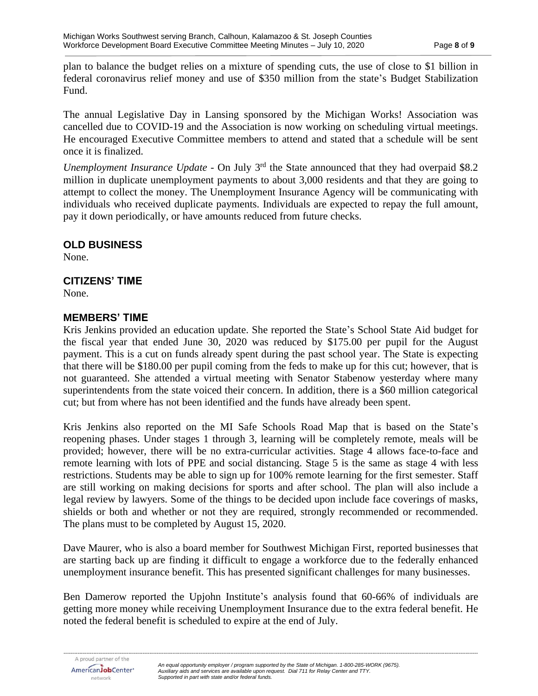plan to balance the budget relies on a mixture of spending cuts, the use of close to \$1 billion in federal coronavirus relief money and use of \$350 million from the state's Budget Stabilization Fund.

The annual Legislative Day in Lansing sponsored by the Michigan Works! Association was cancelled due to COVID-19 and the Association is now working on scheduling virtual meetings. He encouraged Executive Committee members to attend and stated that a schedule will be sent once it is finalized.

*Unemployment Insurance Update* - On July 3<sup>rd</sup> the State announced that they had overpaid \$8.2 million in duplicate unemployment payments to about 3,000 residents and that they are going to attempt to collect the money. The Unemployment Insurance Agency will be communicating with individuals who received duplicate payments. Individuals are expected to repay the full amount, pay it down periodically, or have amounts reduced from future checks.

#### **OLD BUSINESS**

None.

### **CITIZENS' TIME**

None.

### **MEMBERS' TIME**

Kris Jenkins provided an education update. She reported the State's School State Aid budget for the fiscal year that ended June 30, 2020 was reduced by \$175.00 per pupil for the August payment. This is a cut on funds already spent during the past school year. The State is expecting that there will be \$180.00 per pupil coming from the feds to make up for this cut; however, that is not guaranteed. She attended a virtual meeting with Senator Stabenow yesterday where many superintendents from the state voiced their concern. In addition, there is a \$60 million categorical cut; but from where has not been identified and the funds have already been spent.

Kris Jenkins also reported on the MI Safe Schools Road Map that is based on the State's reopening phases. Under stages 1 through 3, learning will be completely remote, meals will be provided; however, there will be no extra-curricular activities. Stage 4 allows face-to-face and remote learning with lots of PPE and social distancing. Stage 5 is the same as stage 4 with less restrictions. Students may be able to sign up for 100% remote learning for the first semester. Staff are still working on making decisions for sports and after school. The plan will also include a legal review by lawyers. Some of the things to be decided upon include face coverings of masks, shields or both and whether or not they are required, strongly recommended or recommended. The plans must to be completed by August 15, 2020.

Dave Maurer, who is also a board member for Southwest Michigan First, reported businesses that are starting back up are finding it difficult to engage a workforce due to the federally enhanced unemployment insurance benefit. This has presented significant challenges for many businesses.

Ben Damerow reported the Upjohn Institute's analysis found that 60-66% of individuals are getting more money while receiving Unemployment Insurance due to the extra federal benefit. He noted the federal benefit is scheduled to expire at the end of July.